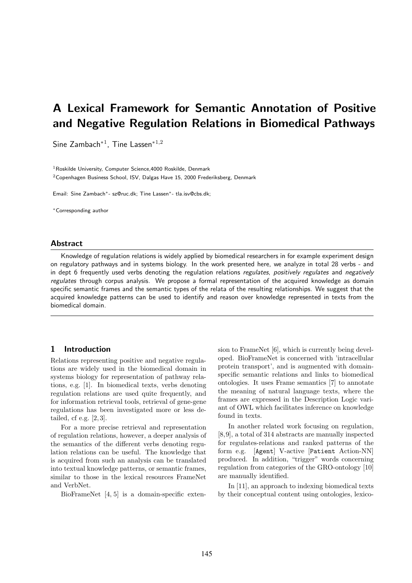# A Lexical Framework for Semantic Annotation of Positive and Negative Regulation Relations in Biomedical Pathways

Sine Zambach<sup>\*1</sup>, Tine Lassen<sup>\*1,2</sup>

<sup>1</sup> Roskilde University, Computer Science, 4000 Roskilde, Denmark <sup>2</sup>Copenhagen Business School, ISV, Dalgas Have 15, 2000 Frederiksberg, Denmark

Email: Sine Zambach∗- sz@ruc.dk; Tine Lassen∗- tla.isv@cbs.dk;

<sup>∗</sup>Corresponding author

#### Abstract

Knowledge of regulation relations is widely applied by biomedical researchers in for example experiment design on regulatory pathways and in systems biology. In the work presented here, we analyze in total 28 verbs - and in dept 6 frequently used verbs denoting the regulation relations regulates, positively regulates and negatively regulates through corpus analysis. We propose a formal representation of the acquired knowledge as domain specific semantic frames and the semantic types of the relata of the resulting relationships. We suggest that the acquired knowledge patterns can be used to identify and reason over knowledge represented in texts from the biomedical domain.

## 1 Introduction

Relations representing positive and negative regulations are widely used in the biomedical domain in systems biology for representation of pathway relations, e.g. [1]. In biomedical texts, verbs denoting regulation relations are used quite frequently, and for information retrieval tools, retrieval of gene-gene regulations has been investigated more or less detailed, cf e.g. [2, 3].

For a more precise retrieval and representation of regulation relations, however, a deeper analysis of the semantics of the different verbs denoting regulation relations can be useful. The knowledge that is acquired from such an analysis can be translated into textual knowledge patterns, or semantic frames, similar to those in the lexical resources FrameNet and VerbNet.

BioFrameNet [4, 5] is a domain-specific exten-

sion to FrameNet [6], which is currently being developed. BioFrameNet is concerned with 'intracellular protein transport', and is augmented with domainspecific semantic relations and links to biomedical ontologies. It uses Frame semantics [7] to annotate the meaning of natural language texts, where the frames are expressed in the Description Logic variant of OWL which facilitates inference on knowledge found in texts.

In another related work focusing on regulation, [8,9], a total of 314 abstracts are manually inspected for regulates-relations and ranked patterns of the form e.g. [Agent] V-active [Patient Action-NN] produced. In addition, "trigger" words concerning regulation from categories of the GRO-ontology [10] are manually identified.

In [11], an approach to indexing biomedical texts by their conceptual content using ontologies, lexico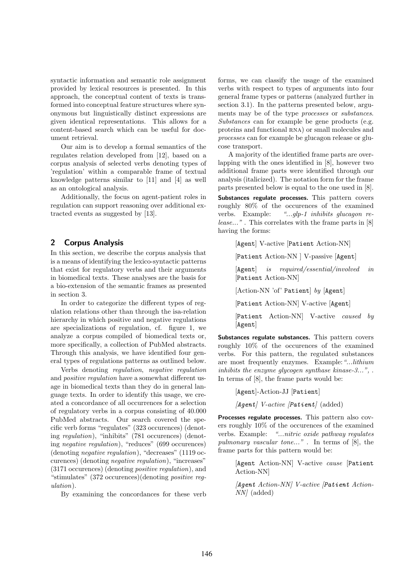syntactic information and semantic role assignment provided by lexical resources is presented. In this approach, the conceptual content of texts is transformed into conceptual feature structures where synonymous but linguistically distinct expressions are given identical representations. This allows for a content-based search which can be useful for document retrieval.

Our aim is to develop a formal semantics of the regulates relation developed from [12], based on a corpus analysis of selected verbs denoting types of 'regulation' within a comparable frame of textual knowledge patterns similar to [11] and [4] as well as an ontological analysis.

Additionally, the focus on agent-patient roles in regulation can support reasoning over additional extracted events as suggested by [13].

## 2 Corpus Analysis

In this section, we describe the corpus analysis that is a means of identifying the lexico-syntactic patterns that exist for regulatory verbs and their arguments in biomedical texts. These analyses are the basis for a bio-extension of the semantic frames as presented in section 3.

In order to categorize the different types of regulation relations other than through the isa-relation hierarchy in which positive and negative regulations are specializations of regulation, cf. figure 1, we analyze a corpus compiled of biomedical texts or, more specifically, a collection of PubMed abstracts. Through this analysis, we have identified four general types of regulations patterns as outlined below.

Verbs denoting regulation, negative regulation and positive regulation have a somewhat different usage in biomedical texts than they do in general language texts. In order to identify this usage, we created a concordance of all occurrences for a selection of regulatory verbs in a corpus consisting of 40.000 PubMed abstracts. Our search covered the specific verb forms "regulates" (323 occurences) (denoting regulation), "inhibits" (781 occurences) (denoting negative regulation), "reduces" (699 occurences) (denoting negative regulation), "decreases" (1119 occurences) (denoting negative regulation), "increases" (3171 occurences) (denoting positive regulation), and "stimulates" (372 occurences)(denoting positive regulation).

By examining the concordances for these verb

forms, we can classify the usage of the examined verbs with respect to types of arguments into four general frame types or patterns (analyzed further in section 3.1). In the patterns presented below, arguments may be of the type processes or substances. Substances can for example be gene products (e.g. proteins and functional RNA) or small molecules and processes can for example be glucagon release or glucose transport.

A majority of the identified frame parts are overlapping with the ones identified in [8], however two additional frame parts were identified through our analysis (italicized). The notation form for the frame parts presented below is equal to the one used in [8]. Substances regulate processes. This pattern covers roughly 80% of the occurences of the examined verbs. Example: "...glp-1 inhibits glucagon re-

lease...". This correlates with the frame parts in [8] having the forms:

[Agent] V-active [Patient Action-NN]

[Patient Action-NN ] V-passive [Agent]

[Agent] is required/essential/involved in [Patient Action-NN]

[Action-NN 'of' Patient] by [Agent]

[Patient Action-NN] V-active [Agent]

[Patient Action-NN] V-active caused by [Agent]

Substances regulate substances. This pattern covers roughly 10% of the occurences of the examined verbs. For this pattern, the regulated substances are most frequently enzymes. Example: "...lithium inhibits the enzyme glycogen synthase kinase-3...", . In terms of [8], the frame parts would be:

[Agent]-Action-JJ [Patient]  $[Agent]$  V-active  $[Patternt]$  (added)

Processes regulate processes. This pattern also covers roughly 10% of the occurences of the examined verbs. Example: "...nitric oxide pathway regulates pulmonary vascular tone...". In terms of [8], the frame parts for this pattern would be:

> [Agent Action-NN] V-active cause [Patient Action-NN]

> [Agent Action-NN] V-active [Patient Action-NN] (added)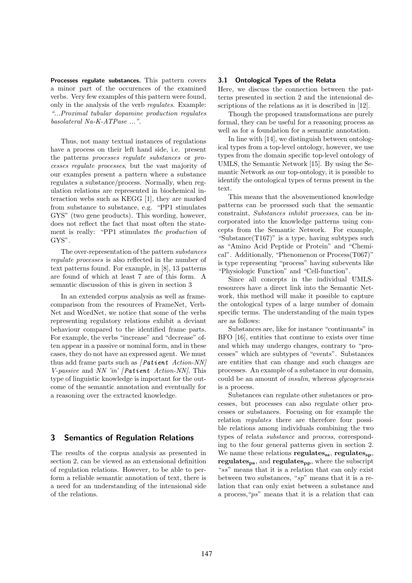Processes regulate substances. This pattern covers a minor part of the occurences of the examined verbs. Very few examples of this pattern were found, only in the analysis of the verb regulates. Example: "...Proximal tubular dopamine production regulates basolateral Na-K-ATPase ...".

Thus, not many textual instances of regulations have a process on their left hand side, i.e. present the patterns processes regulate substances or processes regulate processes, but the vast majority of our examples present a pattern where a substance regulates a substance/process. Normally, when regulation relations are represented in biochemical interaction webs such as KEGG [1], they are marked from substance to substance, e.g. "PP1 stimulates GYS" (two gene products). This wording, however, does not reflect the fact that most often the statement is really: "PP1 stimulates the production of GYS".

The over-representation of the pattern substances regulate processes is also reflected in the number of text patterns found. For example, in [8], 13 patterns are found of which at least 7 are of this form. A semantic discussion of this is given in section 3

In an extended corpus analysis as well as framecomparison from the resources of FrameNet, Verb-Net and WordNet, we notice that some of the verbs representing regulatory relations exhibit a deviant behaviour compared to the identified frame parts. For example, the verbs "increase" and "decrease" often appear in a passive or nominal form, and in these cases, they do not have an expressed agent. We must thus add frame parts such as  $[Patternt: Action-NN]$ V-passive and NN 'in'  $[Pattern t \ Action-NN]$ . This type of linguistic knowledge is important for the outcome of the semantic annotation and eventually for a reasoning over the extracted knowledge.

## 3 Semantics of Regulation Relations

The results of the corpus analysis as presented in section 2, can be viewed as an extensional definition of regulation relations. However, to be able to perform a reliable semantic annotation of text, there is a need for an understanding of the intensional side of the relations.

## 3.1 Ontological Types of the Relata

Here, we discuss the connection between the patterns presented in section 2 and the intensional descriptions of the relations as it is described in [12].

Though the proposed transformations are purely formal, they can be useful for a reasoning process as well as for a foundation for a semantic annotation.

In line with [14], we distinguish between ontological types from a top-level ontology, however, we use types from the domain specific top-level ontology of UMLS, the Semantic Network [15]. By using the Semantic Network as our top-ontology, it is possible to identify the ontological types of terms present in the text.

This means that the abovementioned knowledge patterns can be processed such that the semantic constraint, Substances inhibit processes, can be incorporated into the knowledge patterns using concepts from the Semantic Network. For example, "Substance $(T167)$ " is a type, having subtypes such as "Amino Acid Peptide or Protein" and "Chemical". Additionally, "Phenomenon or Process(T067)" is type representing "process" having subevents like "Physiologic Function" and "Cell-function".

Since all concepts in the individual UMLSresources have a direct link into the Semantic Network, this method will make it possible to capture the ontological types of a large number of domain specific terms. The understanding of the main types are as follows:

Substances are, like for instance "continuants" in BFO [16], entities that continue to exists over time and which may undergo changes, contrary to "processes" which are subtypes of "events". Substances are entities that can change and such changes are processes. An example of a substance in our domain, could be an amount of insulin, whereas glycogenesis is a process.

Substances can regulate other substances or processes, but processes can also regulate other processes or substances. Focusing on for example the relation regulates there are therefore four possible relations among individuals combining the two types of relata substance and process, corresponding to the four general patterns given in section 2. We name these relations regulates<sub>ss</sub>, regulates<sub>sp</sub>, regulates<sub>ps</sub>, and regulates<sub>pp</sub>, where the subscript "ss" means that it is a relation that can only exist between two substances, " $sp$ " means that it is a relation that can only exist between a substance and a process,"ps" means that it is a relation that can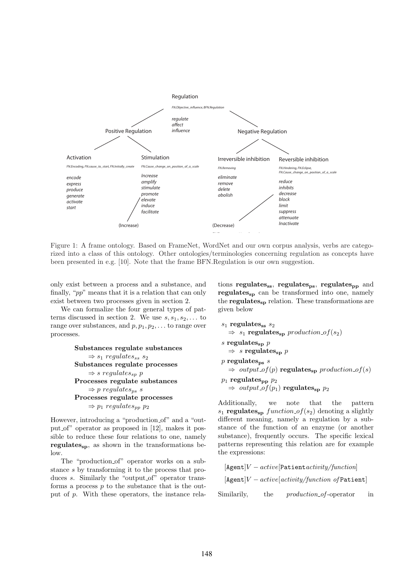

Figure 1: A frame ontology. Based on FrameNet, WordNet and our own corpus analysis, verbs are categorized into a class of this ontology. Other ontologies/terminologies concerning regulation as concepts have been presented in e.g. [10]. Note that the frame BFN.Regulation is our own suggestion.

only exist between a process and a substance, and finally, "pp" means that it is a relation that can only exist between two processes given in section 2.

We can formalize the four general types of patterns discussed in section 2. We use  $s, s_1, s_2, \ldots$  to range over substances, and  $p, p_1, p_2, \ldots$  to range over processes.

```
Substances regulate substances
      \Rightarrow s<sub>1</sub> regulates<sub>ss</sub> s<sub>2</sub>
Substances regulate processes
      \Rightarrow s regulates<sub>sp</sub> p
Processes regulate substances
      \Rightarrow p regulates<sub>ps</sub> s
Processes regulate processes
      \Rightarrow p_1 regulates<sub>pp</sub> p_2
```
However, introducing a "production of" and a "output of" operator as proposed in [12], makes it possible to reduce these four relations to one, namely  $regulates<sub>sn</sub>$ , as shown in the transformations below.

The "production of" operator works on a substance s by transforming it to the process that produces s. Similarly the "output of" operator transforms a process  $p$  to the substance that is the output of p. With these operators, the instance relations regulates<sub>ss</sub>, regulates<sub>ps</sub>, regulates<sub>pp</sub> and regulates<sub>sp</sub> can be transformed into one, namely the regulates $_{\rm sp}$  relation. These transformations are given below

```
s_1 regulates<sub>ss</sub> s_2\Rightarrow s<sub>1</sub> regulates<sub>sp</sub> production of(s<sub>2</sub>)
s regulates_p p
   \Rightarrow s regulates<sub>sp</sub> p
p regulates<sub>ps</sub> s
   \Rightarrow output_of(p) regulates<sub>sp</sub> production_of(s)
p_1 regulates<sub>pp</sub> p_2\Rightarrow output_of(p_1) regulates<sub>sp</sub> p_2
```
Additionally, we note that the pattern  $s_1$  regulates<sub>sp</sub> function of( $s_2$ ) denoting a slightly different meaning, namely a regulation by a substance of the function of an enzyme (or another substance), frequently occurs. The specific lexical patterns representing this relation are for example the expressions:

```
[Agent]V - active[Patternactivity/function][\text{Agent}]V - active[activity/function of \text{Pattern}]Similarily, the production_of-operator in
```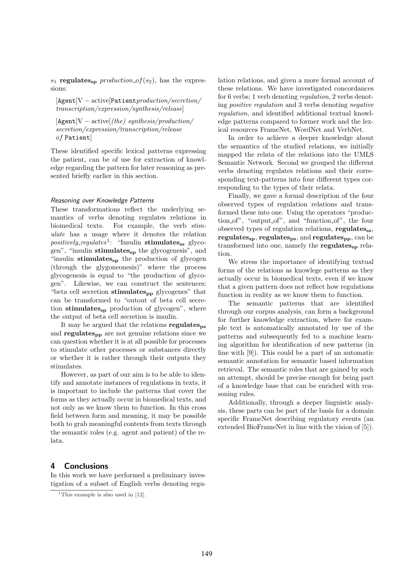$s_1$  regulates<sub>sp</sub> production of  $(s_2)$ , has the expressions:

[Agent]V − active[Patientproduction/secretion/ transcription/expression/synthesis/release]

 $[\text{Agent}]V - \text{active}[(the)$  synthesis/production/ secretion/expression/transcription/release of Patient]

These identified specific lexical patterns expressing the patient, can be of use for extraction of knowledge regarding the pattern for later reasoning as presented briefly earlier in this section.

#### Reasoning over Knowledge Patterns

These transformations reflect the underlying semantics of verbs denoting regulates relations in biomedical texts. For example, the verb stimulate has a usage where it denotes the relation  $\it positively\_regulates^1$ : "Insulin **stimulates<sub>ss</sub>** glycogen", "insulin stimulates<sub>sp</sub> the glycogenesis", and "insulin stimulates<sub>sp</sub> the production of glycogen (through the glygoneonesis)" where the process glycogenesis is equal to "the production of glycogen". Likewise, we can construct the sentences: "beta cell secretion  $stimulates_{\text{pp}}$  glycogenes" that can be transformed to "outout of beta cell secretion stimulates $s_{sp}$  production of glycogen", where the output of beta cell secretion is insulin.

It may be argued that the relations regulatesps and regulates<sub>pp</sub> are not genuine relations since we can question whether it is at all possible for processes to stimulate other processes or substances directly or whether it is rather through their outputs they stimulates.

However, as part of our aim is to be able to identify and annotate instances of regulations in texts, it is important to include the patterns that cover the forms as they actually occur in biomedical texts, and not only as we know them to function. In this cross field between form and meaning, it may be possible both to grab meaningful contents from texts through the semantic roles (e.g. agent and patient) of the relata.

## 4 Conclusions

In this work we have performed a preliminary investigation of a subset of English verbs denoting regulation relations, and given a more formal account of these relations. We have investigated concordances for 6 verbs; 1 verb denoting *regulation*, 2 verbs denoting positive regulation and 3 verbs denoting negative regulation, and identified additional textual knowledge patterns compared to former work and the lexical resources FrameNet, WordNet and VerbNet.

In order to achieve a deeper knowledge about the semantics of the studied relations, we initially mapped the relata of the relations into the UMLS Semantic Network. Second we grouped the different verbs denoting regulates relations and their corresponding text-patterns into four different types corresponding to the types of their relata.

Finally, we gave a formal description of the four observed types of regulation relations and transformed these into one. Using the operators "production of", "output of", and "function of", the four observed types of regulation relations, regulates<sub>ss</sub>,  $regulates<sub>sp</sub>, regulates<sub>ps</sub>, and regulates<sub>pp</sub>, can be$ transformed into one, namely the regulates $_{sp}$  relation.

We stress the importance of identifying textual forms of the relations as knowlege patterns as they actually occur in biomedical texts, even if we know that a given pattern does not reflect how regulations function in reality as we know them to function.

The semantic patterns that are identified through our corpus analysis, can form a background for further knowledge extraction, where for example text is automatically annotated by use of the patterns and subsequently fed to a machine learning algorithm for identification of new patterns (in line with [9]). This could be a part of an automatic semantic annotation for semantic based information retrieval. The semantic roles that are gained by such an attempt, should be precise enough for being part of a knowledge base that can be enriched with reasoning rules.

Additionally, through a deeper linguistic analysis, these parts can be part of the basis for a domain specific FrameNet describing regulatory events (an extended BioFrameNet in line with the vision of [5]).

<sup>&</sup>lt;sup>1</sup>This example is also used in  $[12]$ .